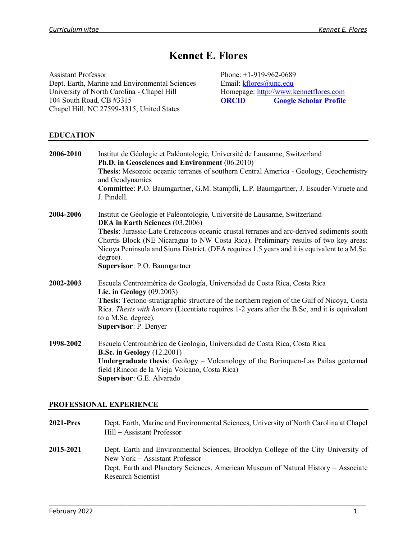# **Kennet E. Flores**

Assistant Professor Dept. Earth, Marine and Environmental Sciences University of North Carolina - Chapel Hill 104 South Road, CB #3315 Chapel Hill, NC 27599-3315, United States

Phone: +1-919-962-0689 Email: [kflores@unc.edu](mailto:kflores@unc.edu) Homepage: [http://www.kennetflores.com](http://www.kennetflores.com/) **[ORCID](https://orcid.org/0000-0001-6143-1240) [Google Scholar Profile](http://scholar.google.com/citations?user=jvNZYAUAAAAJ&hl=en)**

## **EDUCATION**

| 2006-2010 | Institut de Géologie et Paléontologie, Université de Lausanne, Switzerland<br>Ph.D. in Geosciences and Environment (06.2010)                                                                                                                                                                                                  |
|-----------|-------------------------------------------------------------------------------------------------------------------------------------------------------------------------------------------------------------------------------------------------------------------------------------------------------------------------------|
|           | Thesis: Mesozoic oceanic terranes of southern Central America - Geology, Geochemistry<br>and Geodynamics                                                                                                                                                                                                                      |
|           | Committee: P.O. Baumgartner, G.M. Stampfli, L.P. Baumgartner, J. Escuder-Viruete and<br>J. Pindell.                                                                                                                                                                                                                           |
| 2004-2006 | Institut de Géologie et Paléontologie, Université de Lausanne, Switzerland<br>DEA in Earth Sciences (03.2006)                                                                                                                                                                                                                 |
|           | Thesis: Jurassic-Late Cretaceous oceanic crustal terranes and arc-derived sediments south<br>Chortis Block (NE Nicaragua to NW Costa Rica). Preliminary results of two key areas:<br>Nicoya Peninsula and Siuna District. (DEA requires 1.5 years and it is equivalent to a M.Sc.<br>degree).<br>Supervisor: P.O. Baumgartner |
|           |                                                                                                                                                                                                                                                                                                                               |
| 2002-2003 | Escuela Centroamérica de Geología, Universidad de Costa Rica, Costa Rica<br>Lic. in Geology $(09.2003)$                                                                                                                                                                                                                       |
|           | Thesis: Tectono-stratigraphic structure of the northern region of the Gulf of Nicoya, Costa<br>Rica. Thesis with honors (Licentiate requires 1-2 years after the B.Sc, and it is equivalent<br>to a M.Sc. degree).<br><b>Supervisor: P. Denyer</b>                                                                            |
| 1998-2002 | Escuela Centroamérica de Geología, Universidad de Costa Rica, Costa Rica                                                                                                                                                                                                                                                      |
|           | <b>B.Sc. in Geology</b> (12.2001)                                                                                                                                                                                                                                                                                             |
|           | Undergraduate thesis: Geology - Volcanology of the Borinquen-Las Pailas geotermal<br>field (Rincon de la Vieja Volcano, Costa Rica)<br>Supervisor: G.E. Alvarado                                                                                                                                                              |

# **PROFESSIONAL EXPERIENCE**

| <b>2021-Pres</b> | Dept. Earth, Marine and Environmental Sciences, University of North Carolina at Chapel<br>Hill – Assistant Professor                                                                                                                    |
|------------------|-----------------------------------------------------------------------------------------------------------------------------------------------------------------------------------------------------------------------------------------|
| 2015-2021        | Dept. Earth and Environmental Sciences, Brooklyn College of the City University of<br>New York – Assistant Professor<br>Dept. Earth and Planetary Sciences, American Museum of Natural History – Associate<br><b>Research Scientist</b> |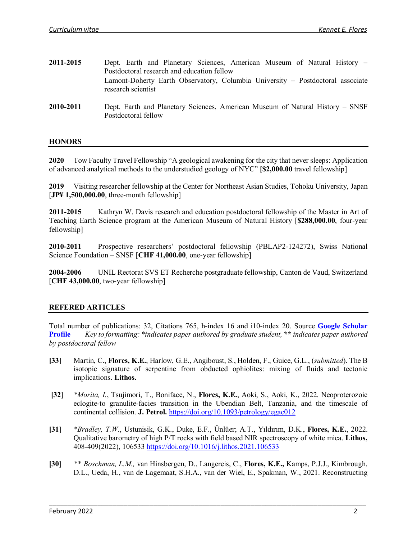- **2011-2015** Dept. Earth and Planetary Sciences, American Museum of Natural History − Postdoctoral research and education fellow Lamont-Doherty Earth Observatory, Columbia University − Postdoctoral associate research scientist
- **2010-2011** Dept. Earth and Planetary Sciences, American Museum of Natural History − SNSF Postdoctoral fellow

#### **HONORS**

**2020** Tow Faculty Travel Fellowship "A geological awakening for the city that never sleeps: Application of advanced analytical methods to the understudied geology of NYC" **[\$2,000.00** travel fellowship]

**2019** Visiting researcher fellowship at the Center for Northeast Asian Studies, Tohoku University, Japan [**JP¥ 1,500,000.00**, three-month fellowship]

**2011-2015** Kathryn W. Davis research and education postdoctoral fellowship of the Master in Art of Teaching Earth Science program at the American Museum of Natural History [**\$288,000.00**, four-year fellowship]

**2010-2011** Prospective researchers' postdoctoral fellowship (PBLAP2-124272), Swiss National Science Foundation – SNSF [**CHF 41,000.00**, one-year fellowship]

**2004-2006** UNIL Rectorat SVS ET Recherche postgraduate fellowship, Canton de Vaud, Switzerland [**CHF 43,000.00**, two-year fellowship]

#### **REFERED ARTICLES**

Total number of publications: 32, Citations 765, h-index 16 and i10-index 20. Source **[Google Scholar](http://scholar.google.com/citations?user=jvNZYAUAAAAJ&hl=en)  [Profile](http://scholar.google.com/citations?user=jvNZYAUAAAAJ&hl=en)** *Key to formatting:* \**indicates paper authored by graduate student,* **\*\*** *indicates paper authored by postdoctoral fellow*

- **[33]** Martin, C., **Flores, K.E.**, Harlow, G.E., Angiboust, S., Holden, F., Guice, G.L., (*submitted*). The B isotopic signature of serpentine from obducted ophiolites: mixing of fluids and tectonic implications. **Lithos.**
- **[32]** *\*Morita, I.*, Tsujimori, T., Boniface, N., **Flores, K.E.**, Aoki, S., Aoki, K., 2022. Neoproterozoic eclogite-to granulite-facies transition in the Ubendian Belt, Tanzania, and the timescale of continental collision. **J. Petrol.** <https://doi.org/10.1093/petrology/egac012>
- **[31]** *\*Bradley, T.W.*, Ustunisik, G.K., Duke, E.F., Ünlüer; A.T., Yıldırım, D.K., **Flores, K.E.**, 2022. Qualitative barometry of high P/T rocks with field based NIR spectroscopy of white mica. **Lithos,** 408-409(2022), 106533<https://doi.org/10.1016/j.lithos.2021.106533>
- **[30]** *\*\* Boschman, L.M.,* van Hinsbergen, D., Langereis, C., **Flores, K.E.,** Kamps, P.J.J., Kimbrough, D.L., Ueda, H., van de Lagemaat, S.H.A., van der Wiel, E., Spakman, W., 2021. Reconstructing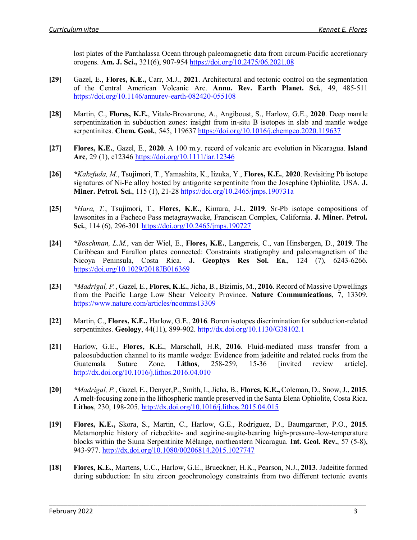lost plates of the Panthalassa Ocean through paleomagnetic data from circum-Pacific accretionary orogens. **Am. J. Sci.,** 321(6), 907-954<https://doi.org/10.2475/06.2021.08>

- **[29]** Gazel, E., **Flores, K.E.,** Carr, M.J., **2021**. Architectural and tectonic control on the segmentation of the Central American Volcanic Arc. **Annu. Rev. Earth Planet. Sci.**, 49, 485-511 https://doi.org/10.1146/annurev-earth-082420-055108
- **[28]** Martin, C., **Flores, K.E.**, Vitale-Brovarone, A., Angiboust, S., Harlow, G.E., **2020**. Deep mantle serpentinization in subduction zones: insight from in-situ B isotopes in slab and mantle wedge serpentinites. **Chem. Geol.**, 545, 119637 <https://doi.org/10.1016/j.chemgeo.2020.119637>
- **[27] Flores, K.E.**, Gazel, E., **2020**. A 100 m.y. record of volcanic arc evolution in Nicaragua. **Island Arc**, 29 (1), e12346 <https://doi.org/10.1111/iar.12346>
- **[26]** *\*Kakefuda, M.*, Tsujimori, T., Yamashita, K., Iizuka, Y., **Flores, K.E.**, **2020**. Revisiting Pb isotope signatures of Ni-Fe alloy hosted by antigorite serpentinite from the Josephine Ophiolite, USA. **J. Miner. Petrol. Sci.**, 115 (1), 21-28<https://doi.org/10.2465/jmps.190731a>
- **[25]** *\*Hara, T.*, Tsujimori, T., **Flores, K.E.**, Kimura, J-I., **2019**. Sr-Pb isotope compositions of lawsonites in a Pacheco Pass metagraywacke, Franciscan Complex, California. **J. Miner. Petrol. Sci.**, 114 (6), 296-301 <https://doi.org/10.2465/jmps.190727>
- **[24]** *\*Boschman, L.M.*, van der Wiel, E., **Flores, K.E.**, Langereis, C., van Hinsbergen, D., **2019**. The Caribbean and Farallon plates connected: Constraints stratigraphy and paleomagnetism of the Nicoya Peninsula, Costa Rica. **J. Geophys Res Sol. Ea.**, 124 (7), 6243-6266. <https://doi.org/10.1029/2018JB016369>
- **[23]** *\*Madrigal, P.*, Gazel, E., **Flores, K.E.**, Jicha, B., Bizimis, M., **2016**. Record of Massive Upwellings from the Pacific Large Low Shear Velocity Province. **Nature Communications**, 7, 13309. https://www.nature.com/articles/ncomms13309
- **[22]** Martin, C., **Flores, K.E.,** Harlow, G.E., **2016**. Boron isotopes discrimination for subduction-related serpentinites. **Geology**, 44(11), 899-902. http://dx.doi.org/10.1130/G38102.1
- **[21]** Harlow, G.E., **Flores, K.E.**, Marschall, H.R, **2016**. Fluid-mediated mass transfer from a paleosubduction channel to its mantle wedge: Evidence from jadeitite and related rocks from the Guatemala Suture Zone. **Lithos**, 258-259, 15-36 [invited review article]. <http://dx.doi.org/10.1016/j.lithos.2016.04.010>
- **[20]** *\*Madrigal, P.*, Gazel, E., Denyer,P., Smith, I., Jicha, B., **Flores, K.E.,** Coleman, D., Snow, J., **2015**. A melt-focusing zone in the lithospheric mantle preserved in the Santa Elena Ophiolite, Costa Rica. **Lithos**, 230, 198-205[. http://dx.doi.org/10.1016/j.lithos.2015.04.015](http://dx.doi.org/10.1016/j.lithos.2015.04.015)
- **[19] Flores, K.E.,** Skora, S., Martin, C., Harlow, G.E., Rodríguez, D., Baumgartner, P.O., **2015**. Metamorphic history of riebeckite- and aegirine-augite-bearing high-pressure–low-temperature blocks within the Siuna Serpentinite Mélange, northeastern Nicaragua. **Int. Geol. Rev.**, 57 (5-8), 943-977.<http://dx.doi.org/10.1080/00206814.2015.1027747>
- **[18] Flores, K.E.**, Martens, U.C., Harlow, G.E., Brueckner, H.K., Pearson, N.J., **2013**. Jadeitite formed during subduction: In situ zircon geochronology constraints from two different tectonic events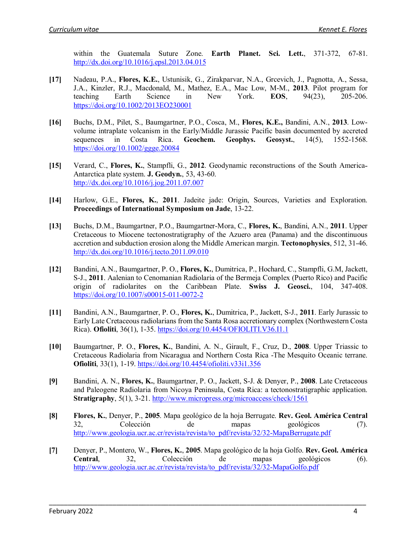within the Guatemala Suture Zone. **Earth Planet. Sci. Lett.**, 371-372, 67-81. <http://dx.doi.org/10.1016/j.epsl.2013.04.015>

- **[17]** Nadeau, P.A., **Flores, K.E.**, Ustunisik, G., Zirakparvar, N.A., Grcevich, J., Pagnotta, A., Sessa, J.A., Kinzler, R.J., Macdonald, M., Mathez, E.A., Mac Low, M-M., **2013**. Pilot program for teaching Earth Science in New York. **EOS**, 94(23), 205-206. <https://doi.org/10.1002/2013EO230001>
- **[16]** Buchs, D.M., Pilet, S., Baumgartner, P.O., Cosca, M., **Flores, K.E.,** Bandini, A.N., **2013**. Lowvolume intraplate volcanism in the Early/Middle Jurassic Pacific basin documented by accreted sequences in Costa Rica. **Geochem. Geophys. Geosyst.**, 14(5), 1552-1568. <https://doi.org/10.1002/ggge.20084>
- **[15]** Verard, C., **Flores, K.**, Stampfli, G., 2012. Geodynamic reconstructions of the South America-Antarctica plate system. **J. Geodyn.**, 53, 43-60. http://dx.doi.org/10.1016/j.jog.2011.07.007
- **[14]** Harlow, G.E., **Flores, K.**, **2011**. Jadeite jade: Origin, Sources, Varieties and Exploration. **Proceedings of International Symposium on Jade**, 13-22.
- **[13]** Buchs, D.M., Baumgartner, P.O., Baumgartner-Mora, C., **Flores, K.**, Bandini, A.N., **2011**. Upper Cretaceous to Miocene tectonostratigraphy of the Azuero area (Panama) and the discontinuous accretion and subduction erosion along the Middle American margin. **Tectonophysics**, 512, 31-46. http://dx.doi.org/10.1016/j.tecto.2011.09.010
- **[12]** Bandini, A.N., Baumgartner, P. O., **Flores, K.**, Dumitrica, P., Hochard, C., Stampfli, G.M, Jackett, S-J., **2011**. Aalenian to Cenomanian Radiolaria of the Bermeja Complex (Puerto Rico) and Pacific origin of radiolarites on the Caribbean Plate. **Swiss J. Geosci.**, 104, 347-408. <https://doi.org/10.1007/s00015-011-0072-2>
- **[11]** Bandini, A.N., Baumgartner, P. O., **Flores, K.**, Dumitrica, P., Jackett, S-J., **2011**. Early Jurassic to Early Late Cretaceous radiolarians from the Santa Rosa accretionary complex (Northwestern Costa Rica). **Ofioliti**, 36(1), 1-35.<https://doi.org/10.4454/OFIOLITI.V36.I1.1>
- **[10]** Baumgartner, P. O., **Flores, K.**, Bandini, A. N., Girault, F., Cruz, D., **2008**. Upper Triassic to Cretaceous Radiolaria from Nicaragua and Northern Costa Rica -The Mesquito Oceanic terrane. **Ofioliti**, 33(1), 1-19.<https://doi.org/10.4454/ofioliti.v33i1.356>
- **[9]** Bandini, A. N., **Flores, K.**, Baumgartner, P. O., Jackett, S-J. & Denyer, P., **2008**. Late Cretaceous and Paleogene Radiolaria from Nicoya Peninsula, Costa Rica: a tectonostratigraphic application. **Stratigraphy**, 5(1), 3-21.<http://www.micropress.org/microaccess/check/1561>
- **[8] Flores, K.**, Denyer, P., **2005**. Mapa geológico de la hoja Berrugate. **Rev. Geol. América Central** 32, Colección de mapas geológicos (7). [http://www.geologia.ucr.ac.cr/revista/revista/to\\_pdf/revista/32/32-MapaBerrugate.pdf](http://www.geologia.ucr.ac.cr/revista/revista/to_pdf/revista/32/32-MapaBerrugate.pdf)
- **[7]** Denyer, P., Montero, W., **Flores, K.**, **2005**. Mapa geológico de la hoja Golfo. **Rev. Geol. América Central**, 32, Colección de mapas geológicos (6). [http://www.geologia.ucr.ac.cr/revista/revista/to\\_pdf/revista/32/32-MapaGolfo.pdf](http://www.geologia.ucr.ac.cr/revista/revista/to_pdf/revista/32/32-MapaGolfo.pdf)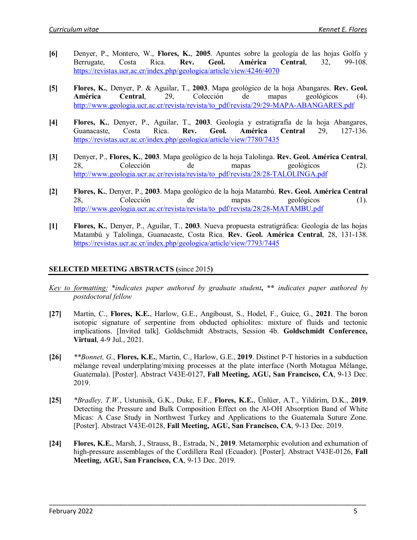- **[6]** Denyer, P., Montero, W., **Flores, K.**, **2005**. Apuntes sobre la geología de las hojas Golfo y Berrugate, Costa Rica. **Rev. Geol. América Central**, 32, 99-108. <https://revistas.ucr.ac.cr/index.php/geologica/article/view/4246/4070>
- **[5] Flores, K.**, Denyer, P. & Aguilar, T., **2003**. Mapa geológico de la hoja Abangares. **Rev. Geol. América Central**, 29, Colección de mapas geológicos (4). [http://www.geologia.ucr.ac.cr/revista/revista/to\\_pdf/revista/29/29-MAPA-ABANGARES.pdf](http://www.geologia.ucr.ac.cr/revista/revista/to_pdf/revista/29/29-MAPA-ABANGARES.pdf)
- **[4] Flores, K.**, Denyer, P., Aguilar, T., **2003**. Geología y estratigrafía de la hoja Abangares, Guanacaste, Costa Rica. **Rev. Geol. América Central** 29, 127-136. <https://revistas.ucr.ac.cr/index.php/geologica/article/view/7780/7435>
- **[3]** Denyer, P., **Flores, K.**, **2003**. Mapa geológico de la hoja Talolinga. **Rev. Geol. América Central**, 28, Colección de mapas geológicos (2). [http://www.geologia.ucr.ac.cr/revista/revista/to\\_pdf/revista/28/28-TALOLINGA.pdf](http://www.geologia.ucr.ac.cr/revista/revista/to_pdf/revista/28/28-TALOLINGA.pdf)
- **[2] Flores, K.**, Denyer, P., **2003**. Mapa geológico de la hoja Matambú. **Rev. Geol. América Central** 28, Colección de mapas geológicos (1). [http://www.geologia.ucr.ac.cr/revista/revista/to\\_pdf/revista/28/28-MATAMBU.pdf](http://www.geologia.ucr.ac.cr/revista/revista/to_pdf/revista/28/28-MATAMBU.pdf)
- **[1] Flores, K.**, Denyer, P., Aguilar, T., **2003**. Nueva propuesta estratigráfica: Geología de las hojas Matambú y Talolinga, Guanacaste, Costa Rica. **Rev. Geol. América Central**, 28, 131-138. <https://revistas.ucr.ac.cr/index.php/geologica/article/view/7793/7445>

# **SELECTED MEETING ABSTRACTS (**since 2015**)**

- *Key to formatting:* \**indicates paper authored by graduate student***, \*\*** *indicates paper authored by postdoctoral fellow*
- **[27]** Martin, C., **Flores, K.E.**, Harlow, G.E., Angiboust, S., Hodel, F., Guice, G., **2021**. The boron isotopic signature of serpentine from obducted ophiolites: mixture of fluids and tectonic implications. [Invited talk]. Goldschmidt Abstracts, Session 4b. **Goldschmidt Conference, Virtual**, 4-9 Jul., 2021.
- **[26]** *\*\*Bonnet, G.*, **Flores, K.E.**, Martin, C., Harlow, G.E., **2019**. Distinct P-T histories in a subduction mélange reveal underplating/mixing processes at the plate interface (North Motagua Mélange, Guatemala). [Poster]. Abstract V43E-0127, **Fall Meeting, AGU, San Francisco, CA**, 9-13 Dec. 2019.
- **[25]** *\*Bradley, T.W.*, Ustunisik, G.K., Duke, E.F., **Flores, K.E.**, Ünlüer, A.T., Yildirim, D.K., **2019**. Detecting the Pressure and Bulk Composition Effect on the Al-OH Absorption Band of White Micas: A Case Study in Northwest Turkey and Applications to the Guatemala Suture Zone. [Poster]. Abstract V43E-0128, **Fall Meeting, AGU, San Francisco, CA**, 9-13 Dec. 2019.
- **[24] Flores, K.E.**, Marsh, J., Strauss, B., Estrada, N., **2019**. Metamorphic evolution and exhumation of high-pressure assemblages of the Cordillera Real (Ecuador). [Poster]. Abstract V43E-0126, **Fall Meeting, AGU, San Francisco, CA**, 9-13 Dec. 2019.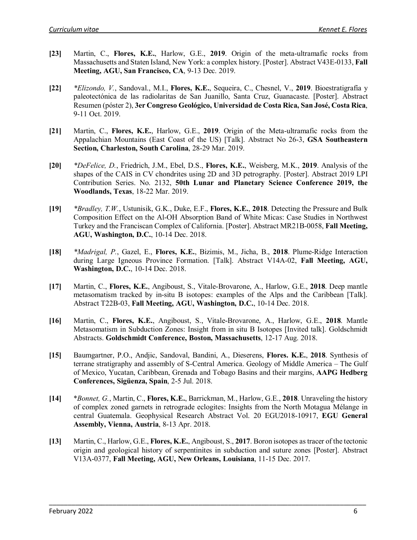- **[23]** Martin, C., **Flores, K.E.**, Harlow, G.E., **2019**. Origin of the meta-ultramafic rocks from Massachusetts and Staten Island, New York: a complex history. [Poster]. Abstract V43E-0133, **Fall Meeting, AGU, San Francisco, CA**, 9-13 Dec. 2019.
- **[22]** *\*Elizondo, V.*, Sandoval., M.I., **Flores, K.E.**, Sequeira, C., Chesnel, V., **2019**. Bioestratigrafía y paleotectónica de las radiolaritas de San Juanillo, Santa Cruz, Guanacaste. [Poster]. Abstract Resumen (póster 2), **3er Congreso Geológico, Universidad de Costa Rica, San José, Costa Rica**, 9-11 Oct. 2019.
- **[21]** Martin, C., **Flores, K.E.**, Harlow, G.E., **2019**. Origin of the Meta-ultramafic rocks from the Appalachian Mountains (East Coast of the US) [Talk]. Abstract No 26-3, **GSA Southeastern Section, Charleston, South Carolina**, 28-29 Mar. 2019.
- **[20]** *\*DeFelice, D.*, Friedrich, J.M., Ebel, D.S., **Flores, K.E.**, Weisberg, M.K., **2019**. Analysis of the shapes of the CAIS in CV chondrites using 2D and 3D petrography. [Poster]. Abstract 2019 LPI Contribution Series. No. 2132, **50th Lunar and Planetary Science Conference 2019, the Woodlands, Texas**, 18-22 Mar. 2019.
- **[19]** *\*Bradley, T.W.*, Ustunisik, G.K., Duke, E.F., **Flores, K.E.**, **2018**. Detecting the Pressure and Bulk Composition Effect on the Al-OH Absorption Band of White Micas: Case Studies in Northwest Turkey and the Franciscan Complex of California. [Poster]. Abstract MR21B-0058, **Fall Meeting, AGU, Washington, D.C.**, 10-14 Dec. 2018.
- **[18]** *\*Madrigal, P.*, Gazel, E., **Flores, K.E.**, Bizimis, M., Jicha, B., **2018**. Plume-Ridge Interaction during Large Igneous Province Formation. [Talk]. Abstract V14A-02, **Fall Meeting, AGU, Washington, D.C.**, 10-14 Dec. 2018.
- **[17]** Martin, C., **Flores, K.E.**, Angiboust, S., Vitale-Brovarone, A., Harlow, G.E., **2018**. Deep mantle metasomatism tracked by in-situ B isotopes: examples of the Alps and the Caribbean [Talk]. Abstract T22B-03, **Fall Meeting, AGU, Washington, D.C.**, 10-14 Dec. 2018.
- **[16]** Martin, C., **Flores, K.E.**, Angiboust, S., Vitale-Brovarone, A., Harlow, G.E., **2018**. Mantle Metasomatism in Subduction Zones: Insight from in situ B Isotopes [Invited talk]. Goldschmidt Abstracts. **Goldschmidt Conference, Boston, Massachusetts**, 12-17 Aug. 2018.
- **[15]** Baumgartner, P.O., Andjic, Sandoval, Bandini, A., Dieserens, **Flores. K.E.**, **2018**. Synthesis of terrane stratigraphy and assembly of S-Central America. Geology of Middle America – The Gulf of Mexico, Yucatan, Caribbean, Grenada and Tobago Basins and their margins, **AAPG Hedberg Conferences, Sigüenza, Spain**, 2-5 Jul. 2018.
- **[14]** \**Bonnet, G.*, Martin, C., **Flores, K.E.**, Barrickman, M., Harlow, G.E., **2018**. Unraveling the history of complex zoned garnets in retrograde eclogites: Insights from the North Motagua Mélange in central Guatemala. Geophysical Research Abstract Vol. 20 EGU2018-10917, **EGU General Assembly, Vienna, Austria**, 8-13 Apr. 2018.
- **[13]** Martin, C., Harlow, G.E., **Flores, K.E.**, Angiboust, S., **2017**. Boron isotopes as tracer of the tectonic origin and geological history of serpentinites in subduction and suture zones [Poster]. Abstract V13A-0377, **Fall Meeting, AGU, New Orleans, Louisiana**, 11-15 Dec. 2017.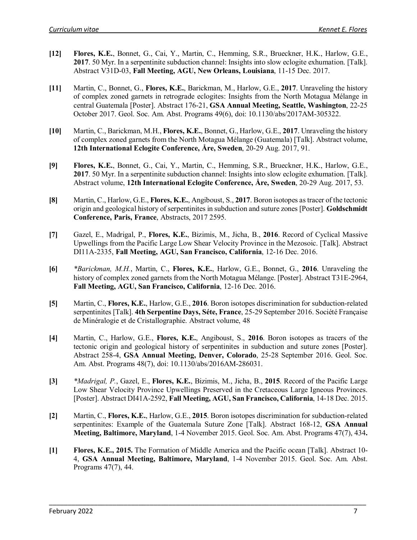- **[12] Flores, K.E.**, Bonnet, G., Cai, Y., Martin, C., Hemming, S.R., Brueckner, H.K., Harlow, G.E., **2017**. 50 Myr. In a serpentinite subduction channel: Insights into slow eclogite exhumation. [Talk]. Abstract V31D-03, **Fall Meeting, AGU, New Orleans, Louisiana**, 11-15 Dec. 2017.
- **[11]** Martin, C., Bonnet, G., **Flores, K.E.**, Barickman, M., Harlow, G.E., **2017**. Unraveling the history of complex zoned garnets in retrograde eclogites: Insights from the North Motagua Mélange in central Guatemala [Poster]. Abstract 176-21, **GSA Annual Meeting, Seattle, Washington**, 22-25 October 2017. Geol. Soc. Am. Abst. Programs 49(6), doi: 10.1130/abs/2017AM-305322.
- **[10]** Martin, C., Barickman, M.H., **Flores, K.E.**, Bonnet, G., Harlow, G.E., **2017**. Unraveling the history of complex zoned garnets from the North Motagua Mélange (Guatemala) [Talk]. Abstract volume, **12th International Eclogite Conference, Åre, Sweden**, 20-29 Aug. 2017, 91.
- **[9] Flores, K.E.**, Bonnet, G., Cai, Y., Martin, C., Hemming, S.R., Brueckner, H.K., Harlow, G.E., **2017**. 50 Myr. In a serpentinite subduction channel: Insights into slow eclogite exhumation. [Talk]. Abstract volume, **12th International Eclogite Conference, Åre, Sweden**, 20-29 Aug. 2017, 53.
- **[8]** Martin, C., Harlow, G.E., **Flores, K.E.**, Angiboust, S., **2017**. Boron isotopes as tracer of the tectonic origin and geological history of serpentinites in subduction and suture zones [Poster]. **Goldschmidt Conference, Paris, France**, Abstracts, 2017 2595.
- **[7]** Gazel, E., Madrigal, P., **Flores, K.E.**, Bizimis, M., Jicha, B., **2016**. Record of Cyclical Massive Upwellings from the Pacific Large Low Shear Velocity Province in the Mezosoic. [Talk]. Abstract DI11A-2335, **Fall Meeting, AGU, San Francisco, California**, 12-16 Dec. 2016.
- **[6]** *\*Barickman, M.H.*, Martin, C., **Flores, K.E.**, Harlow, G.E., Bonnet, G., **2016**. Unraveling the history of complex zoned garnets from the North Motagua Mélange. [Poster]. Abstract T31E-2964, **Fall Meeting, AGU, San Francisco, California**, 12-16 Dec. 2016.
- **[5]** Martin, C., **Flores, K.E.**, Harlow, G.E., **2016**. Boron isotopes discrimination for subduction-related serpentinites [Talk]. **4th Serpentine Days, Séte, France**, 25-29 September 2016. Société Française de Minéralogie et de Cristallographie. Abstract volume, 48
- **[4]** Martin, C., Harlow, G.E., **Flores, K.E.**, Angiboust, S., **2016**. Boron isotopes as tracers of the tectonic origin and geological history of serpentinites in subduction and suture zones [Poster]. Abstract 258-4, **GSA Annual Meeting, Denver, Colorado**, 25-28 September 2016. Geol. Soc. Am. Abst. Programs 48(7), doi: 10.1130/abs/2016AM-286031.
- **[3]** *\*Madrigal, P.*, Gazel, E., **Flores, K.E.**, Bizimis, M., Jicha, B., **2015**. Record of the Pacific Large Low Shear Velocity Province Upwellings Preserved in the Cretaceous Large Igneous Provinces. [Poster]. Abstract DI41A-2592, **Fall Meeting, AGU, San Francisco, California**, 14-18 Dec. 2015.
- **[2]** Martin, C., **Flores, K.E.**, Harlow, G.E., **2015**. Boron isotopes discrimination for subduction-related serpentinites: Example of the Guatemala Suture Zone [Talk]. Abstract 168-12, **GSA Annual Meeting, Baltimore, Maryland**, 1-4 November 2015. Geol. Soc. Am. Abst. Programs 47(7), 434**.**
- **[1] Flores, K.E., 2015.** The Formation of Middle America and the Pacific ocean [Talk]. Abstract 10- 4, **GSA Annual Meeting, Baltimore, Maryland**, 1-4 November 2015. Geol. Soc. Am. Abst. Programs 47(7), 44.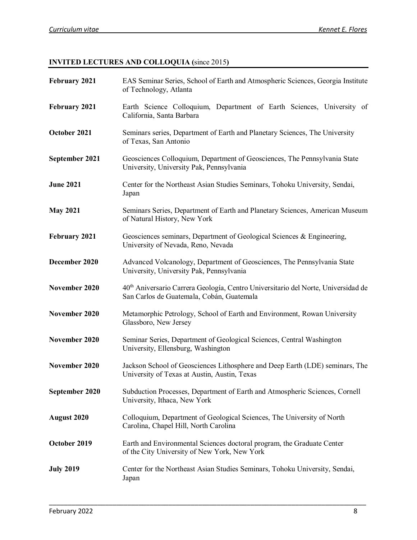# **INVITED LECTURES AND COLLOQUIA (**since 2015**)**

| February 2021      | EAS Seminar Series, School of Earth and Atmospheric Sciences, Georgia Institute<br>of Technology, Atlanta                                  |
|--------------------|--------------------------------------------------------------------------------------------------------------------------------------------|
| February 2021      | Earth Science Colloquium, Department of Earth Sciences, University of<br>California, Santa Barbara                                         |
| October 2021       | Seminars series, Department of Earth and Planetary Sciences, The University<br>of Texas, San Antonio                                       |
| September 2021     | Geosciences Colloquium, Department of Geosciences, The Pennsylvania State<br>University, University Pak, Pennsylvania                      |
| <b>June 2021</b>   | Center for the Northeast Asian Studies Seminars, Tohoku University, Sendai,<br>Japan                                                       |
| <b>May 2021</b>    | Seminars Series, Department of Earth and Planetary Sciences, American Museum<br>of Natural History, New York                               |
| February 2021      | Geosciences seminars, Department of Geological Sciences & Engineering,<br>University of Nevada, Reno, Nevada                               |
| December 2020      | Advanced Volcanology, Department of Geosciences, The Pennsylvania State<br>University, University Pak, Pennsylvania                        |
| November 2020      | 40 <sup>th</sup> Aniversario Carrera Geología, Centro Universitario del Norte, Universidad de<br>San Carlos de Guatemala, Cobán, Guatemala |
| November 2020      | Metamorphic Petrology, School of Earth and Environment, Rowan University<br>Glassboro, New Jersey                                          |
| November 2020      | Seminar Series, Department of Geological Sciences, Central Washington<br>University, Ellensburg, Washington                                |
| November 2020      | Jackson School of Geosciences Lithosphere and Deep Earth (LDE) seminars, The<br>University of Texas at Austin, Austin, Texas               |
| September 2020     | Subduction Processes, Department of Earth and Atmospheric Sciences, Cornell<br>University, Ithaca, New York                                |
| <b>August 2020</b> | Colloquium, Department of Geological Sciences, The University of North<br>Carolina, Chapel Hill, North Carolina                            |
| October 2019       | Earth and Environmental Sciences doctoral program, the Graduate Center<br>of the City University of New York, New York                     |
| <b>July 2019</b>   | Center for the Northeast Asian Studies Seminars, Tohoku University, Sendai,<br>Japan                                                       |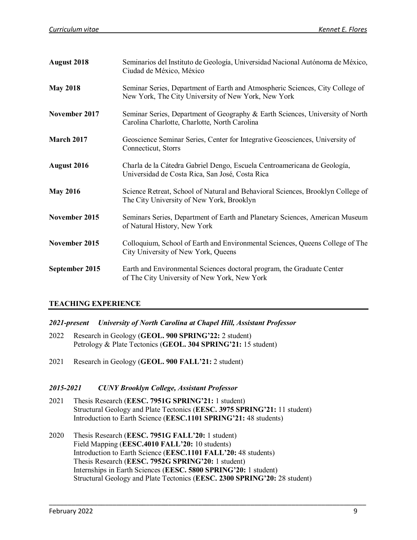| August 2018       | Seminarios del Instituto de Geología, Universidad Nacional Autónoma de México,<br>Ciudad de México, México                           |
|-------------------|--------------------------------------------------------------------------------------------------------------------------------------|
| <b>May 2018</b>   | Seminar Series, Department of Earth and Atmospheric Sciences, City College of<br>New York, The City University of New York, New York |
| November 2017     | Seminar Series, Department of Geography & Earth Sciences, University of North<br>Carolina Charlotte, Charlotte, North Carolina       |
| <b>March 2017</b> | Geoscience Seminar Series, Center for Integrative Geosciences, University of<br>Connecticut, Storrs                                  |
| August 2016       | Charla de la Cátedra Gabriel Dengo, Escuela Centroamericana de Geología,<br>Universidad de Costa Rica, San José, Costa Rica          |
| <b>May 2016</b>   | Science Retreat, School of Natural and Behavioral Sciences, Brooklyn College of<br>The City University of New York, Brooklyn         |
| November 2015     | Seminars Series, Department of Earth and Planetary Sciences, American Museum<br>of Natural History, New York                         |
| November 2015     | Colloquium, School of Earth and Environmental Sciences, Queens College of The<br>City University of New York, Queens                 |
| September 2015    | Earth and Environmental Sciences doctoral program, the Graduate Center<br>of The City University of New York, New York               |

## **TEACHING EXPERIENCE**

- *2021-present University of North Carolina at Chapel Hill, Assistant Professor*
- 2022 Research in Geology (**GEOL. 900 SPRING'22:** 2 student) Petrology & Plate Tectonics (**GEOL. 304 SPRING'21:** 15 student)
- 2021 Research in Geology (**GEOL. 900 FALL'21:** 2 student)

#### *2015-2021 CUNY Brooklyn College, Assistant Professor*

- 2021 Thesis Research (**EESC. 7951G SPRING'21:** 1 student) Structural Geology and Plate Tectonics (**EESC. 3975 SPRING'21:** 11 student) Introduction to Earth Science (**EESC.1101 SPRING'21:** 48 students)
- 2020 Thesis Research (**EESC. 7951G FALL'20:** 1 student) Field Mapping (**EESC.4010 FALL'20:** 10 students) Introduction to Earth Science (**EESC.1101 FALL'20:** 48 students) Thesis Research (**EESC. 7952G SPRING'20:** 1 student) Internships in Earth Sciences (**EESC. 5800 SPRING'20:** 1 student) Structural Geology and Plate Tectonics (**EESC. 2300 SPRING'20:** 28 student)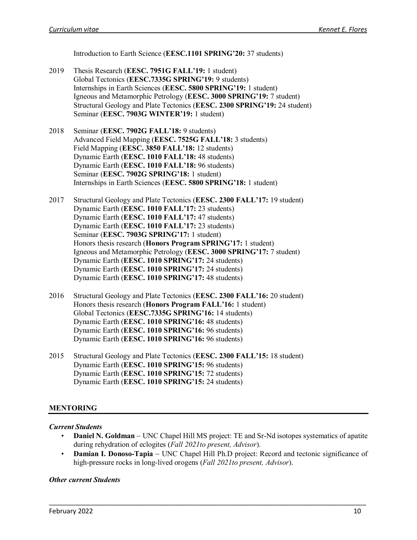Introduction to Earth Science (**EESC.1101 SPRING'20:** 37 students)

- 2019 Thesis Research (**EESC. 7951G FALL'19:** 1 student) Global Tectonics (**EESC.7335G SPRING'19:** 9 students) Internships in Earth Sciences (**EESC. 5800 SPRING'19:** 1 student) Igneous and Metamorphic Petrology (**EESC. 3000 SPRING'19:** 7 student) Structural Geology and Plate Tectonics (**EESC. 2300 SPRING'19:** 24 student) Seminar (**EESC. 7903G WINTER'19:** 1 student)
- 2018 Seminar (**EESC. 7902G FALL'18:** 9 students) Advanced Field Mapping (**EESC. 7525G FALL'18:** 3 students) Field Mapping (**EESC. 3850 FALL'18:** 12 students) Dynamic Earth (**EESC. 1010 FALL'18:** 48 students) Dynamic Earth (**EESC. 1010 FALL'18:** 96 students) Seminar (**EESC. 7902G SPRING'18:** 1 student) Internships in Earth Sciences (**EESC. 5800 SPRING'18:** 1 student)
- 2017 Structural Geology and Plate Tectonics (**EESC. 2300 FALL'17:** 19 student) Dynamic Earth (**EESC. 1010 FALL'17:** 23 students) Dynamic Earth (**EESC. 1010 FALL'17:** 47 students) Dynamic Earth (**EESC. 1010 FALL'17:** 23 students) Seminar (**EESC. 7903G SPRING'17:** 1 student) Honors thesis research (**Honors Program SPRING'17:** 1 student) Igneous and Metamorphic Petrology (**EESC. 3000 SPRING'17:** 7 student) Dynamic Earth (**EESC. 1010 SPRING'17:** 24 students) Dynamic Earth (**EESC. 1010 SPRING'17:** 24 students) Dynamic Earth (**EESC. 1010 SPRING'17:** 48 students)
- 2016 Structural Geology and Plate Tectonics (**EESC. 2300 FALL'16:** 20 student) Honors thesis research (**Honors Program FALL'16:** 1 student) Global Tectonics (**EESC.7335G SPRING'16:** 14 students) Dynamic Earth (**EESC. 1010 SPRING'16:** 48 students) Dynamic Earth (**EESC. 1010 SPRING'16:** 96 students) Dynamic Earth (**EESC. 1010 SPRING'16:** 96 students)
- 2015 Structural Geology and Plate Tectonics (**EESC. 2300 FALL'15:** 18 student) Dynamic Earth (**EESC. 1010 SPRING'15:** 96 students) Dynamic Earth (**EESC. 1010 SPRING'15:** 72 students) Dynamic Earth (**EESC. 1010 SPRING'15:** 24 students)

## **MENTORING**

#### *Current Students*

- **Daniel N. Goldman** UNC Chapel Hill MS project: TE and Sr-Nd isotopes systematics of apatite during rehydration of eclogites (*Fall 2021to present, Advisor*).
- **Damian I. Donoso-Tapia** − UNC Chapel Hill Ph.D project: Record and tectonic significance of high-pressure rocks in long-lived orogens (*Fall 2021to present, Advisor*).

\_\_\_\_\_\_\_\_\_\_\_\_\_\_\_\_\_\_\_\_\_\_\_\_\_\_\_\_\_\_\_\_\_\_\_\_\_\_\_\_\_\_\_\_\_\_\_\_\_\_\_\_\_\_\_\_\_\_\_\_\_\_\_\_\_\_\_\_\_\_\_\_\_\_\_\_\_\_\_\_\_\_\_\_\_

#### *Other current Students*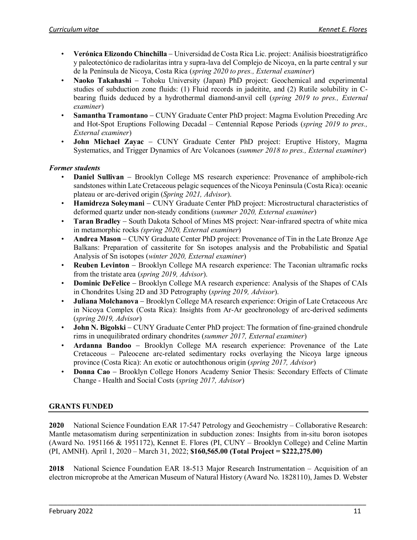- **Verónica Elizondo Chinchilla** − Universidad de Costa Rica Lic. project: Análisis bioestratigráfico y paleotectónico de radiolaritas intra y supra-lava del Complejo de Nicoya, en la parte central y sur de la Península de Nicoya, Costa Rica (*spring 2020 to pres., External examiner*)
- **Naoko Takahashi** Tohoku University (Japan) PhD project: Geochemical and experimental studies of subduction zone fluids: (1) Fluid records in jadeitite, and (2) Rutile solubility in Cbearing fluids deduced by a hydrothermal diamond-anvil cell (*spring 2019 to pres., External examiner*)
- **Samantha Tramontano** − CUNY Graduate Center PhD project: Magma Evolution Preceding Arc and Hot-Spot Eruptions Following Decadal – Centennial Repose Periods (*spring 2019 to pres., External examiner*)
- **John Michael Zayac** CUNY Graduate Center PhD project: Eruptive History, Magma Systematics, and Trigger Dynamics of Arc Volcanoes (*summer 2018 to pres., External examiner*)

# *Former students*

- **Daniel Sullivan** − Brooklyn College MS research experience: Provenance of amphibole-rich sandstones within Late Cretaceous pelagic sequences of the Nicoya Peninsula (Costa Rica): oceanic plateau or arc-derived origin (*Spring 2021, Advisor*).
- **Hamidreza Soleymani** − CUNY Graduate Center PhD project: Microstructural characteristics of deformed quartz under non-steady conditions (*summer 2020, External examiner*)
- **Taran Bradley** − South Dakota School of Mines MS project: Near-infrared spectra of white mica in metamorphic rocks *(spring 2020, External examiner*)
- **Andrea Mason** − CUNY Graduate Center PhD project: Provenance of Tin in the Late Bronze Age Balkans: Preparation of cassiterite for Sn isotopes analysis and the Probabilistic and Spatial Analysis of Sn isotopes (*winter 2020, External examiner*)
- **Reuben Levinton** − Brooklyn College MA research experience: The Taconian ultramafic rocks from the tristate area (*spring 2019, Advisor*).
- **Dominic DeFelice** − Brooklyn College MA research experience: Analysis of the Shapes of CAIs in Chondrites Using 2D and 3D Petrography (*spring 2019, Advisor*).
- **Juliana Molchanova** − Brooklyn College MA research experience: Origin of Late Cretaceous Arc in Nicoya Complex (Costa Rica): Insights from Ar-Ar geochronology of arc-derived sediments (*spring 2019, Advisor*)
- **John N. Bigolski** − CUNY Graduate Center PhD project: The formation of fine-grained chondrule rims in unequilibrated ordinary chondrites (*summer 2017, External examiner*)
- **Ardanna Bandoo** Brooklyn College MA research experience: Provenance of the Late Cretaceous – Paleocene arc-related sedimentary rocks overlaying the Nicoya large igneous province (Costa Rica): An exotic or autochthonous origin (*spring 2017, Advisor*)
- **Donna Cao** − Brooklyn College Honors Academy Senior Thesis: Secondary Effects of Climate Change - Health and Social Costs (*spring 2017, Advisor*)

# **GRANTS FUNDED**

**2020** National Science Foundation EAR 17-547 Petrology and Geochemistry – Collaborative Research: Mantle metasomatism during serpentinization in subduction zones: Insights from in‐situ boron isotopes (Award No. 1951166 & 1951172), Kennet E. Flores (PI, CUNY – Brooklyn College) and Celine Martin (PI, AMNH). April 1, 2020 – March 31, 2022; **\$160,565.00 (Total Project = \$222,275.00)**

**2018** National Science Foundation EAR 18-513 Major Research Instrumentation – Acquisition of an electron microprobe at the American Museum of Natural History (Award No. 1828110), James D. Webster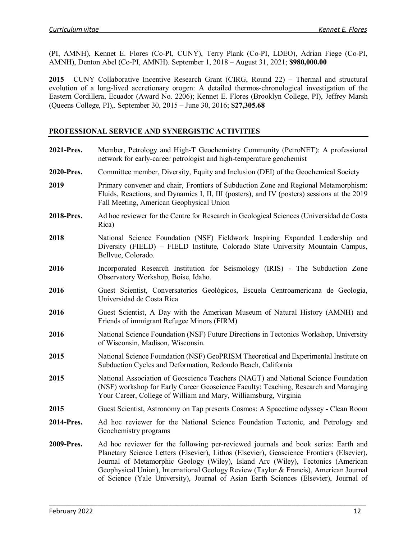(PI, AMNH), Kennet E. Flores (Co-PI, CUNY), Terry Plank (Co-PI, LDEO), Adrian Fiege (Co-PI, AMNH), Denton Abel (Co-PI, AMNH). September 1, 2018 – August 31, 2021; **\$980,000.00**

2015 CUNY Collaborative Incentive Research Grant (CIRG, Round 22) – Thermal and structural evolution of a long-lived accretionary orogen: A detailed thermos-chronological investigation of the Eastern Cordillera, Ecuador (Award No. 2206); Kennet E. Flores (Brooklyn College, PI), Jeffrey Marsh (Queens College, PI),. September 30, 2015 – June 30, 2016; **\$27,305.68**

## **PROFESSIONAL SERVICE AND SYNERGISTIC ACTIVITIES**

| 2021-Pres. | Member, Petrology and High-T Geochemistry Community (PetroNET): A professional<br>network for early-career petrologist and high-temperature geochemist                                                                                                                                                                                                                                                                                              |
|------------|-----------------------------------------------------------------------------------------------------------------------------------------------------------------------------------------------------------------------------------------------------------------------------------------------------------------------------------------------------------------------------------------------------------------------------------------------------|
| 2020-Pres. | Committee member, Diversity, Equity and Inclusion (DEI) of the Geochemical Society                                                                                                                                                                                                                                                                                                                                                                  |
| 2019       | Primary convener and chair, Frontiers of Subduction Zone and Regional Metamorphism:<br>Fluids, Reactions, and Dynamics I, II, III (posters), and IV (posters) sessions at the 2019<br>Fall Meeting, American Geophysical Union                                                                                                                                                                                                                      |
| 2018-Pres. | Ad hoc reviewer for the Centre for Research in Geological Sciences (Universidad de Costa<br>Rica)                                                                                                                                                                                                                                                                                                                                                   |
| 2018       | National Science Foundation (NSF) Fieldwork Inspiring Expanded Leadership and<br>Diversity (FIELD) – FIELD Institute, Colorado State University Mountain Campus,<br>Bellvue, Colorado.                                                                                                                                                                                                                                                              |
| 2016       | Incorporated Research Institution for Seismology (IRIS) - The Subduction Zone<br>Observatory Workshop, Boise, Idaho.                                                                                                                                                                                                                                                                                                                                |
| 2016       | Guest Scientist, Conversatorios Geológicos, Escuela Centroamericana de Geología,<br>Universidad de Costa Rica                                                                                                                                                                                                                                                                                                                                       |
| 2016       | Guest Scientist, A Day with the American Museum of Natural History (AMNH) and<br>Friends of immigrant Refugee Minors (FIRM)                                                                                                                                                                                                                                                                                                                         |
| 2016       | National Science Foundation (NSF) Future Directions in Tectonics Workshop, University<br>of Wisconsin, Madison, Wisconsin.                                                                                                                                                                                                                                                                                                                          |
| 2015       | National Science Foundation (NSF) GeoPRISM Theoretical and Experimental Institute on<br>Subduction Cycles and Deformation, Redondo Beach, California                                                                                                                                                                                                                                                                                                |
| 2015       | National Association of Geoscience Teachers (NAGT) and National Science Foundation<br>(NSF) workshop for Early Career Geoscience Faculty: Teaching, Research and Managing<br>Your Career, College of William and Mary, Williamsburg, Virginia                                                                                                                                                                                                       |
| 2015       | Guest Scientist, Astronomy on Tap presents Cosmos: A Spacetime odyssey - Clean Room                                                                                                                                                                                                                                                                                                                                                                 |
| 2014-Pres. | Ad hoc reviewer for the National Science Foundation Tectonic, and Petrology and<br>Geochemistry programs                                                                                                                                                                                                                                                                                                                                            |
| 2009-Pres. | Ad hoc reviewer for the following per-reviewed journals and book series: Earth and<br>Planetary Science Letters (Elsevier), Lithos (Elsevier), Geoscience Frontiers (Elsevier),<br>Journal of Metamorphic Geology (Wiley), Island Arc (Wiley), Tectonics (American<br>Geophysical Union), International Geology Review (Taylor & Francis), American Journal<br>of Science (Yale University), Journal of Asian Earth Sciences (Elsevier), Journal of |